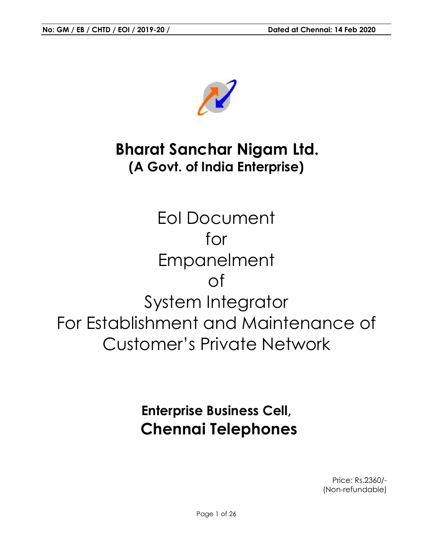

# **Bharat Sanchar Nigam Ltd. (A Govt. of India Enterprise)**

EoI Document for Empanelment of System Integrator For Establishment and Maintenance of Customer's Private Network

# **Enterprise Business Cell, Chennai Telephones**

Price: Rs.2360/- (Non-refundable)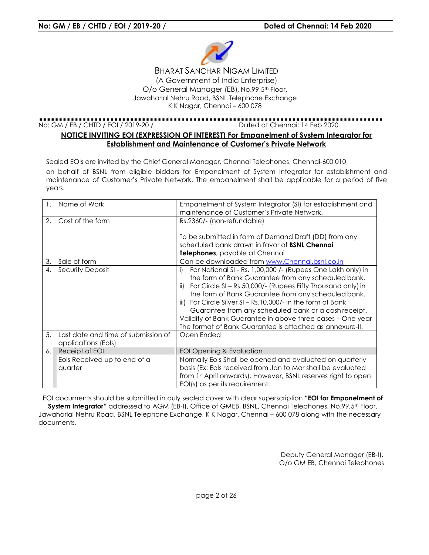

BHARAT SANCHAR NIGAM LIMITED (A Government of India Enterprise) O/o General Manager (EB) Government (EB), No.99,5th Floor, Jawaharlal Nehru Road, Road, BSNL Telephone Exchange K K Nagar, Chennai Nagar, Chennai – 600 078

No: GM / EB / CHTD / EOI / 2019-20 / Dated at Chennai: 14 Feb Feb 2020

#### **NOTICE INVITING EOI (EXPRESSION OF INTEREST) For Empanelment of System Integrator for**  ING EOI (EXPRESSION OF INTEREST) For Empanelment of System<br>Establishment and Maintenance of Customer's Private Network

Sealed EOIs are invited by the Chief General Manager, Chennai Telephones, Chennai Chennai-600 010 on behalf of BSNL from eligible bidders for Empanelment of System Integrator for establishment and maintenance of Customer's Private Network. The empanelment shall be applicable for a period of five years. eligible bidders for Empanelment of System Integrator for establishment<br>Integration of System Integrator (SI) for establishment and<br>Empanelment of System Integrator (SI) for establishment and

|                  | years.                                                     | maintenance of Customer's Private Network. The empanelment shall be applicable for a period of fi                                                                                                                                                                                                                                                                                                                                                                                                      |
|------------------|------------------------------------------------------------|--------------------------------------------------------------------------------------------------------------------------------------------------------------------------------------------------------------------------------------------------------------------------------------------------------------------------------------------------------------------------------------------------------------------------------------------------------------------------------------------------------|
| $\mathbf{1}$ .   | Name of Work                                               | Empanelment of System Integrator (SI) for establishment and<br>maintenance of Customer's Private Network.                                                                                                                                                                                                                                                                                                                                                                                              |
| 2.               | Cost of the form                                           | Rs.2360/- (non-refundable)                                                                                                                                                                                                                                                                                                                                                                                                                                                                             |
|                  |                                                            | To be submitted in form of Demand Draft (DD) from any<br>scheduled bank drawn in favor of <b>BSNL Chennai</b>                                                                                                                                                                                                                                                                                                                                                                                          |
|                  |                                                            | Telephones, payable at Chennai                                                                                                                                                                                                                                                                                                                                                                                                                                                                         |
| 3.               | Sale of form                                               | Can be downloaded from www.Chennai.bsnl.co.in                                                                                                                                                                                                                                                                                                                                                                                                                                                          |
| $\overline{4}$ . | Security Deposit                                           | For National SI - Rs. 1,00,000 /- (Rupees One Lakh only) in<br>i)<br>the form of Bank Guarantee from any scheduled bank.<br>For Circle SI - Rs.50,000/- (Rupees Fifty Thousand only) in<br>ii)<br>the form of Bank Guarantee from any scheduled bank.<br>iii) For Circle Silver SI - Rs.10,000/- in the form of Bank<br>Guarantee from any scheduled bank or a cash receipt.<br>Validity of Bank Guarantee in above three cases - One year<br>The format of Bank Guarantee is attached as annexure-II. |
| 5.               | Last date and time of submission of<br>applications (EoIs) | Open Ended                                                                                                                                                                                                                                                                                                                                                                                                                                                                                             |
| 6.1              | Receipt of EOI                                             | EOI Opening & Evaluation                                                                                                                                                                                                                                                                                                                                                                                                                                                                               |
|                  | Eols Received up to end of a<br>quarter                    | Normally Eols Shall be opened and evaluated on quarterly<br>basis (Ex: Eols received from Jan to Mar shall be evaluated<br>from 1st April onwards). However, BSNL reserves right to open<br>EOI(s) as per its requirement.                                                                                                                                                                                                                                                                             |

EOI documents should be submitted in duly sealed cover with clear superscription "**EOI for Empanelment of** 

**System Integrator"** addressed to AGM (EB-I), Office of GMEB, BSNL, Chennai Telephones, No.99,5<sup>th</sup> Floor, Jawaharlal Nehru Road, BSNL Telephone Exchange, K K Nagar, Chennai – 600 078 along with the necessary documents.

> Deputy General Manager (EB (EB-I), O/o GM EB, Chennai Telephones Telephones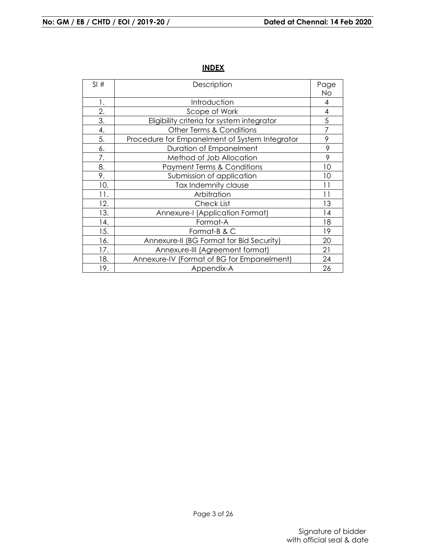| SI# | Description                                    | Page<br>No |
|-----|------------------------------------------------|------------|
| 1.  | Introduction                                   | 4          |
| 2.  | Scope of Work                                  | 4          |
| 3.  | Eligibility criteria for system integrator     | 5          |
| 4.  | Other Terms & Conditions                       | 7          |
| 5.  | Procedure for Empanelment of System Integrator | 9          |
| 6.  | Duration of Empanelment                        | 9          |
| 7.  | Method of Job Allocation                       | 9          |
| 8.  | <b>Payment Terms &amp; Conditions</b>          | 10         |
| 9.  | Submission of application                      | 10         |
| 10. | Tax Indemnity clause                           | 11         |
| 11. | Arbitration                                    | 11         |
| 12. | Check List                                     | 13         |
| 13. | Annexure-I (Application Format)                | 14         |
| 14. | Format-A                                       | 18         |
| 15. | Format-B & C                                   | 19         |
| 16. | Annexure-II (BG Format for Bid Security)       | 20         |
| 17. | Annexure-III (Agreement format)                | 21         |
| 18. | Annexure-IV (Format of BG for Empanelment)     | 24         |
| 19. | Appendix-A                                     | 26         |

# **INDEX**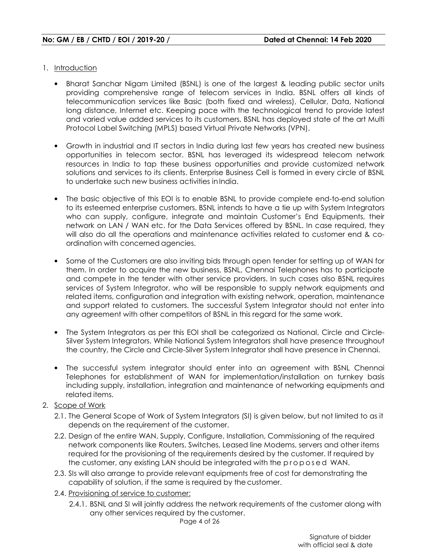- 1. Introduction
	- Bharat Sanchar Nigam Limited (BSNL) is one of the largest & leading public sector units providing comprehensive range of telecom services in India. BSNL offers all kinds of telecommunication services like Basic (both fixed and wireless), Cellular, Data, National long distance, Internet etc. Keeping pace with the technological trend to provide latest and varied value added services to its customers, BSNL has deployed state of the art Multi Protocol Label Switching (MPLS) based Virtual Private Networks (VPN).
	- Growth in industrial and IT sectors in India during last few years has created new business opportunities in telecom sector. BSNL has leveraged its widespread telecom network resources in India to tap these business opportunities and provide customized network solutions and services to its clients. Enterprise Business Cell is formed in every circle of BSNL to undertake such new business activities in India.
	- The basic objective of this EOI is to enable BSNL to provide complete end-to-end solution to its esteemed enterprise customers. BSNL intends to have a tie up with System Integrators who can supply, configure, integrate and maintain Customer's End Equipments, their network on LAN / WAN etc. for the Data Services offered by BSNL. In case required, they will also do all the operations and maintenance activities related to customer end & coordination with concerned agencies.
	- Some of the Customers are also inviting bids through open tender for setting up of WAN for them. In order to acquire the new business, BSNL, Chennai Telephones has to participate and compete in the tender with other service providers. In such cases also BSNL requires services of System Integrator, who will be responsible to supply network equipments and related items, configuration and integration with existing network, operation, maintenance and support related to customers. The successful System Integrator should not enter into any agreement with other competitors of BSNL in this regard for the same work.
	- The System Integrators as per this EOI shall be categorized as National, Circle and Circle-Silver System Integrators. While National System Integrators shall have presence throughout the country, the Circle and Circle-Silver System Integrator shall have presence in Chennai.
	- The successful system integrator should enter into an agreement with BSNL Chennai Telephones for establishment of WAN for implementation/installation on turnkey basis including supply, installation, integration and maintenance of networking equipments and related items.
- 2. Scope of Work
	- 2.1. The General Scope of Work of System Integrators (SI) is given below, but not limited to as it depends on the requirement of the customer.
	- 2.2. Design of the entire WAN, Supply, Configure, Installation, Commissioning of the required network components like Routers, Switches, Leased line Modems, servers and other items required for the provisioning of the requirements desired by the customer. If required by the customer, any existing LAN should be integrated with the proposed WAN.
	- 2.3. SIs will also arrange to provide relevant equipments free of cost for demonstrating the capability of solution, if the same is required by the customer.
	- 2.4. Provisioning of service to customer:
		- 2.4.1. BSNL and SI will jointly address the network requirements of the customer along with any other services required by the customer.

Page 4 of 26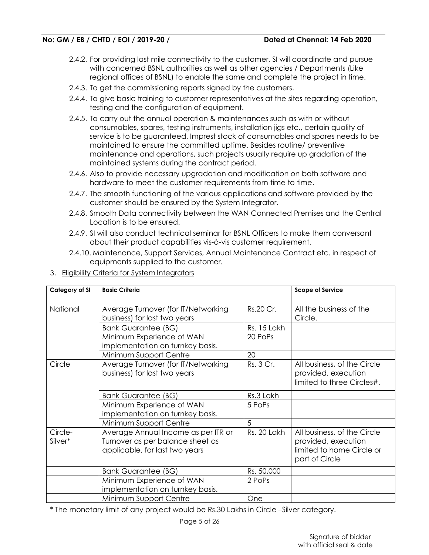- 2.4.2. For providing last mile connectivity to the customer, SI will coordinate and pursue with concerned BSNL authorities as well as other agencies / Departments (Like regional offices of BSNL) to enable the same and complete the project in time.
- 2.4.3. To get the commissioning reports signed by the customers.
- 2.4.4. To give basic training to customer representatives at the sites regarding operation, testing and the configuration of equipment.
- 2.4.5. To carry out the annual operation & maintenances such as with or without consumables, spares, testing instruments, installation jigs etc., certain quality of service is to be guaranteed. Imprest stock of consumables and spares needs to be maintained to ensure the committed uptime. Besides routine/ preventive maintenance and operations, such projects usually require up gradation of the maintained systems during the contract period.
- 2.4.6. Also to provide necessary upgradation and modification on both software and hardware to meet the customer requirements from time to time.
- 2.4.7. The smooth functioning of the various applications and software provided by the customer should be ensured by the System Integrator.
- 2.4.8. Smooth Data connectivity between the WAN Connected Premises and the Central Location is to be ensured.
- 2.4.9. SI will also conduct technical seminar for BSNL Officers to make them conversant about their product capabilities vis-à-vis customer requirement.
- 2.4.10. Maintenance, Support Services, Annual Maintenance Contract etc. in respect of equipments supplied to the customer.

| <b>Category of SI</b> | <b>Basic Criteria</b>                                                                                     |             | <b>Scope of Service</b>                                                                           |
|-----------------------|-----------------------------------------------------------------------------------------------------------|-------------|---------------------------------------------------------------------------------------------------|
| National              | Average Turnover (for IT/Networking<br>business) for last two years                                       | Rs.20 Cr.   | All the business of the<br>Circle.                                                                |
|                       | <b>Bank Guarantee (BG)</b>                                                                                | Rs. 15 Lakh |                                                                                                   |
|                       | Minimum Experience of WAN<br>implementation on turnkey basis.                                             | 20 PoPs     |                                                                                                   |
|                       | Minimum Support Centre                                                                                    | 20          |                                                                                                   |
| Circle                | Average Turnover (for IT/Networking<br>business) for last two years                                       | Rs. 3 Cr.   | All business, of the Circle<br>provided, execution<br>limited to three Circles#.                  |
|                       | <b>Bank Guarantee (BG)</b>                                                                                | Rs.3 Lakh   |                                                                                                   |
|                       | Minimum Experience of WAN<br>implementation on turnkey basis.                                             | 5 PoPs      |                                                                                                   |
|                       | Minimum Support Centre                                                                                    | 5           |                                                                                                   |
| Circle-<br>Silver*    | Average Annual Income as per ITR or<br>Turnover as per balance sheet as<br>applicable, for last two years | Rs. 20 Lakh | All business, of the Circle<br>provided, execution<br>limited to home Circle or<br>part of Circle |
|                       | <b>Bank Guarantee (BG)</b>                                                                                | Rs. 50,000  |                                                                                                   |
|                       | Minimum Experience of WAN<br>implementation on turnkey basis.                                             | 2 PoPs      |                                                                                                   |
|                       | Minimum Support Centre                                                                                    | One         |                                                                                                   |

3. Eligibility Criteria for System Integrators

\* The monetary limit of any project would be Rs.30 Lakhs in Circle –Silver category.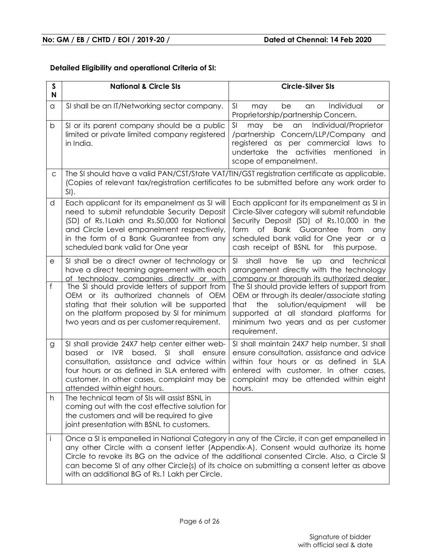## **Detailed Eligibility and operational Criteria of SI:**

| $\mathsf{s}$<br>N | <b>National &amp; Circle SIs</b>                                                                                                                                                                                                                                                                                                                                                                                                    | <b>Circle-Silver SIs</b>                                                                                                                                                                                                                                                               |
|-------------------|-------------------------------------------------------------------------------------------------------------------------------------------------------------------------------------------------------------------------------------------------------------------------------------------------------------------------------------------------------------------------------------------------------------------------------------|----------------------------------------------------------------------------------------------------------------------------------------------------------------------------------------------------------------------------------------------------------------------------------------|
| a                 | SI shall be an IT/Networking sector company.                                                                                                                                                                                                                                                                                                                                                                                        | SI<br>Individual<br>may<br>be<br>an<br><b>or</b><br>Proprietorship/partnership Concern.                                                                                                                                                                                                |
| b                 | SI or its parent company should be a public<br>limited or private limited company registered<br>in India.                                                                                                                                                                                                                                                                                                                           | Individual/Proprietor<br>SI<br>be<br>may<br>an<br>/partnership Concern/LLP/Company and<br>registered as per commercial laws<br>to<br>the activities<br>undertake<br>mentioned<br>in<br>scope of empanelment.                                                                           |
| C                 | The SI should have a valid PAN/CST/State VAT/TIN/GST registration certificate as applicable.<br>(Copies of relevant tax/registration certificates to be submitted before any work order to<br>$SI$ ).                                                                                                                                                                                                                               |                                                                                                                                                                                                                                                                                        |
| d                 | Each applicant for its empanelment as SI will<br>need to submit refundable Security Deposit<br>(SD) of Rs.1Lakh and Rs.50,000 for National<br>and Circle Level empanelment respectively,<br>in the form of a Bank Guarantee from any<br>scheduled bank valid for One year                                                                                                                                                           | Each applicant for its empanelment as SI in<br>Circle-Silver category will submit refundable<br>Security Deposit (SD) of Rs.10,000 in the<br>of<br><b>Bank</b> Guarantee<br>form<br>from<br>any<br>scheduled bank valid for One year or a<br>cash receipt of BSNL for<br>this purpose. |
| е                 | SI shall be a direct owner of technology or<br>have a direct teaming agreement with each<br>of technology companies directly or with                                                                                                                                                                                                                                                                                                | SI.<br>shall<br>tie<br>have<br>technical<br>Up<br>and<br>arrangement directly with the technology<br>company or thorough its authorized dealer                                                                                                                                         |
| f                 | The SI should provide letters of support from<br>OEM or its authorized channels of OEM<br>stating that their solution will be supported<br>on the platform proposed by SI for minimum<br>two years and as per customer requirement.                                                                                                                                                                                                 | The SI should provide letters of support from<br>OEM or through its dealer/associate stating<br>solution/equipment<br>that<br>the<br>will<br>be<br>supported at all standard platforms for<br>minimum two years and as per customer<br>requirement.                                    |
| g                 | SI shall provide 24X7 help center either web-<br>SI<br>based or IVR<br>shall<br>based.<br>ensure<br>consultation, assistance and advice within<br>four hours or as defined in SLA entered with<br>customer. In other cases, complaint may be<br>attended within eight hours.                                                                                                                                                        | SI shall maintain 24X7 help number. SI shall<br>ensure consultation, assistance and advice<br>within four hours or as defined in SLA<br>entered with customer. In other cases,<br>complaint may be attended within eight<br>hours.                                                     |
| h                 | The technical team of SIs will assist BSNL in<br>coming out with the cost effective solution for<br>the customers and will be required to give<br>joint presentation with BSNL to customers.                                                                                                                                                                                                                                        |                                                                                                                                                                                                                                                                                        |
| i                 | Once a SI is empanelled in National Category in any of the Circle, it can get empanelled in<br>any other Circle with a consent letter (Appendix-A). Consent would authorize its home<br>Circle to revoke its BG on the advice of the additional consented Circle. Also, a Circle SI<br>can become SI of any other Circle(s) of its choice on submitting a consent letter as above<br>with an additional BG of Rs.1 Lakh per Circle. |                                                                                                                                                                                                                                                                                        |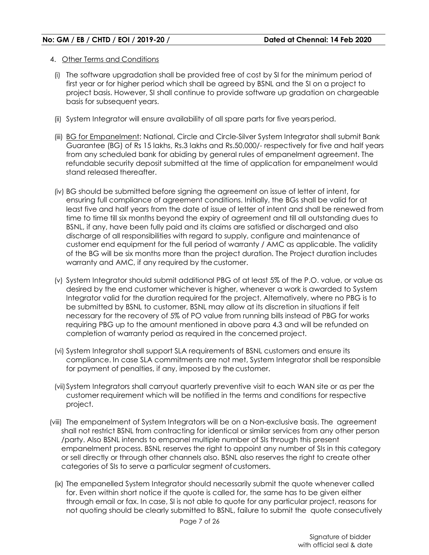- 4. Other Terms and Conditions
- (i) The software upgradation shall be provided free of cost by SI for the minimum period of first year or for higher period which shall be agreed by BSNL and the SI on a project to project basis. However, SI shall continue to provide software up gradation on chargeable basis for subsequent years.
- (ii) System Integrator will ensure availability of all spare parts for five years period.
- (iii) BG for Empanelment: National, Circle and Circle-Silver System Integrator shall submit Bank Guarantee (BG) of Rs 15 lakhs, Rs.3 lakhs and Rs.50,000/- respectively for five and half years from any scheduled bank for abiding by general rules of empanelment agreement. The refundable security deposit submitted at the time of application for empanelment would stand released thereafter.
- (iv) BG should be submitted before signing the agreement on issue of letter of intent, for ensuring full compliance of agreement conditions. Initially, the BGs shall be valid for at least five and half years from the date of issue of letter of intent and shall be renewed from time to time till six months beyond the expiry of agreement and till all outstanding dues to BSNL, if any, have been fully paid and its claims are satisfied or discharged and also discharge of all responsibilities with regard to supply, configure and maintenance of customer end equipment for the full period of warranty / AMC as applicable. The validity of the BG will be six months more than the project duration. The Project duration includes warranty and AMC, if any required by the customer.
- (v) System Integrator should submit additional PBG of at least 5% of the P.O. value, or value as desired by the end customer whichever is higher, whenever a work is awarded to System Integrator valid for the duration required for the project. Alternatively, where no PBG is to be submitted by BSNL to customer, BSNL may allow at its discretion in situations if felt necessary for the recovery of 5% of PO value from running bills instead of PBG for works requiring PBG up to the amount mentioned in above para 4.3 and will be refunded on completion of warranty period as required in the concerned project.
- (vi) System Integrator shall support SLA requirements of BSNL customers and ensure its compliance. In case SLA commitments are not met, System Integrator shall be responsible for payment of penalties, if any, imposed by the customer.
- (vii)System Integrators shall carryout quarterly preventive visit to each WAN site or as per the customer requirement which will be notified in the terms and conditions for respective project.
- (viii) The empanelment of System Integrators will be on a Non-exclusive basis. The agreement shall not restrict BSNL from contracting for identical or similar services from any other person /party. Also BSNL intends to empanel multiple number of SIs through this present empanelment process. BSNL reserves the right to appoint any number of SIs in this category or sell directly or through other channels also. BSNL also reserves the right to create other categories of SIs to serve a particular segment of customers.
	- (ix) The empanelled System Integrator should necessarily submit the quote whenever called for. Even within short notice if the quote is called for, the same has to be given either through email or fax. In case, SI is not able to quote for any particular project, reasons for not quoting should be clearly submitted to BSNL, failure to submit the quote consecutively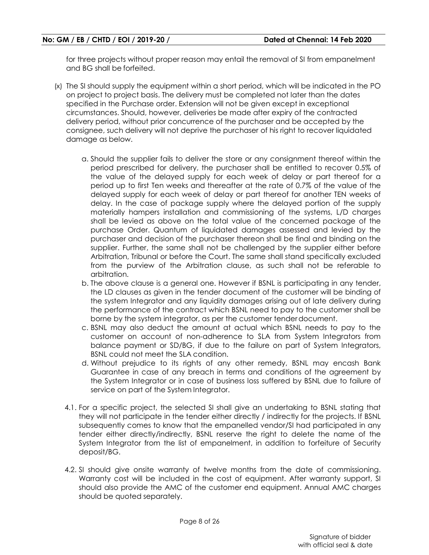for three projects without proper reason may entail the removal of SI from empanelment and BG shall be forfeited.

- (x) The SI should supply the equipment within a short period, which will be indicated in the PO on project to project basis. The delivery must be completed not later than the dates specified in the Purchase order. Extension will not be given except in exceptional circumstances. Should, however, deliveries be made after expiry of the contracted delivery period, without prior concurrence of the purchaser and be accepted by the consignee, such delivery will not deprive the purchaser of his right to recover liquidated damage as below.
	- a. Should the supplier fails to deliver the store or any consignment thereof within the period prescribed for delivery, the purchaser shall be entitled to recover 0.5% of the value of the delayed supply for each week of delay or part thereof for a period up to first Ten weeks and thereafter at the rate of 0.7% of the value of the delayed supply for each week of delay or part thereof for another TEN weeks of delay. In the case of package supply where the delayed portion of the supply materially hampers installation and commissioning of the systems, L/D charges shall be levied as above on the total value of the concerned package of the purchase Order. Quantum of liquidated damages assessed and levied by the purchaser and decision of the purchaser thereon shall be final and binding on the supplier. Further, the same shall not be challenged by the supplier either before Arbitration, Tribunal or before the Court. The same shall stand specifically excluded from the purview of the Arbitration clause, as such shall not be referable to arbitration.
	- b. The above clause is a general one. However if BSNL is participating in any tender, the LD clauses as given in the tender document of the customer will be binding of the system Integrator and any liquidity damages arising out of late delivery during the performance of the contract which BSNL need to pay to the customer shall be borne by the system integrator, as per the customer tender document.
	- c. BSNL may also deduct the amount at actual which BSNL needs to pay to the customer on account of non-adherence to SLA from System Integrators from balance payment or SD/BG, if due to the failure on part of System Integrators, BSNL could not meet the SLA condition.
	- d. Without prejudice to its rights of any other remedy, BSNL may encash Bank Guarantee in case of any breach in terms and conditions of the agreement by the System Integrator or in case of business loss suffered by BSNL due to failure of service on part of the System Integrator.
	- 4.1. For a specific project, the selected SI shall give an undertaking to BSNL stating that they will not participate in the tender either directly / indirectly for the projects. If BSNL subsequently comes to know that the empanelled vendor/SI had participated in any tender either directly/indirectly, BSNL reserve the right to delete the name of the System Integrator from the list of empanelment, in addition to forfeiture of Security deposit/BG.
	- 4.2. SI should give onsite warranty of twelve months from the date of commissioning. Warranty cost will be included in the cost of equipment. After warranty support, SI should also provide the AMC of the customer end equipment. Annual AMC charges should be quoted separately.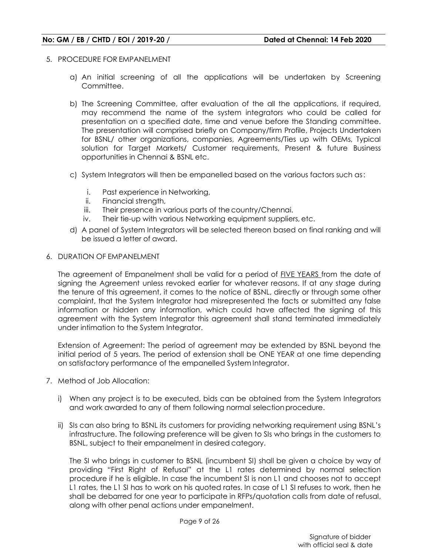- 5. PROCEDURE FOR EMPANELMENT
	- a) An initial screening of all the applications will be undertaken by Screening Committee.
	- b) The Screening Committee, after evaluation of the all the applications, if required, may recommend the name of the system integrators who could be called for presentation on a specified date, time and venue before the Standing committee. The presentation will comprised briefly on Company/firm Profile, Projects Undertaken for BSNL/ other organizations, companies, Agreements/Ties up with OEMs, Typical solution for Target Markets/ Customer requirements, Present & future Business opportunities in Chennai & BSNL etc.
	- c) System Integrators will then be empanelled based on the various factors such as :
		- i. Past experience in Networking,
		- ii. Financial strength,
		- iii. Their presence in various parts of the country/Chennai.
		- iv. Their tie-up with various Networking equipment suppliers, etc.
	- d) A panel of System Integrators will be selected thereon based on final ranking and will be issued a letter of award.
- 6. DURATION OF EMPANELMENT

The agreement of Empanelment shall be valid for a period of FIVE YEARS from the date of signing the Agreement unless revoked earlier for whatever reasons. If at any stage during the tenure of this agreement, it comes to the notice of BSNL, directly or through some other complaint, that the System Integrator had misrepresented the facts or submitted any false information or hidden any information, which could have affected the signing of this agreement with the System Integrator this agreement shall stand terminated immediately under intimation to the System Integrator.

Extension of Agreement: The period of agreement may be extended by BSNL beyond the initial period of 5 years. The period of extension shall be ONE YEAR at one time depending on satisfactory performance of the empanelled System Integrator.

- 7. Method of Job Allocation:
	- i) When any project is to be executed, bids can be obtained from the System Integrators and work awarded to any of them following normal selection procedure.
	- ii) SIs can also bring to BSNL its customers for providing networking requirement using BSNL's infrastructure. The following preference will be given to SIs who brings in the customers to BSNL, subject to their empanelment in desired category.

The SI who brings in customer to BSNL (incumbent SI) shall be given a choice by way of providing "First Right of Refusal" at the L1 rates determined by normal selection procedure if he is eligible. In case the incumbent SI is non L1 and chooses not to accept L1 rates, the L1 SI has to work on his quoted rates. In case of L1 SI refuses to work, then he shall be debarred for one year to participate in RFPs/quotation calls from date of refusal, along with other penal actions under empanelment.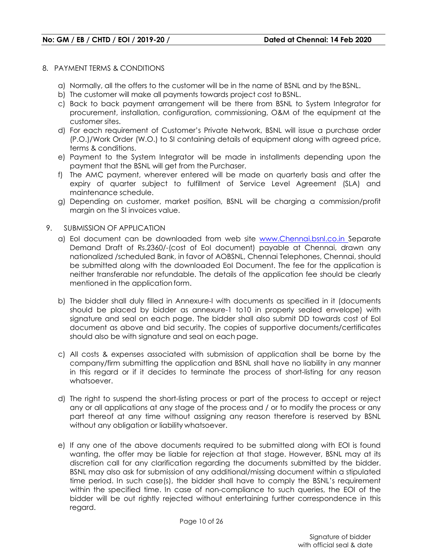#### 8. PAYMENT TERMS & CONDITIONS

- a) Normally, all the offers to the customer will be in the name of BSNL and by the BSNL.
- b) The customer will make all payments towards project cost to BSNL.
- c) Back to back payment arrangement will be there from BSNL to System Integrator for procurement, installation, configuration, commissioning, O&M of the equipment at the customer sites.
- d) For each requirement of Customer's Private Network, BSNL will issue a purchase order (P.O.)/Work Order (W.O.) to SI containing details of equipment along with agreed price, terms & conditions.
- e) Payment to the System Integrator will be made in installments depending upon the payment that the BSNL will get from the Purchaser.
- f) The AMC payment, wherever entered will be made on quarterly basis and after the expiry of quarter subject to fulfillment of Service Level Agreement (SLA) and maintenance schedule.
- g) Depending on customer, market position, BSNL will be charging a commission/profit margin on the SI invoices value.
- 9. SUBMISSION OF APPLICATION
	- a) EoI document can be downloaded from web site www.Chennai.bsnl.co.in Separate Demand Draft of Rs.2360/-(cost of EoI document) payable at Chennai, drawn any nationalized /scheduled Bank, in favor of AOBSNL, Chennai Telephones, Chennai, should be submitted along with the downloaded EoI Document. The fee for the application is neither transferable nor refundable. The details of the application fee should be clearly mentioned in the application form.
	- b) The bidder shall duly filled in Annexure-I with documents as specified in it (documents should be placed by bidder as annexure-1 to10 in properly sealed envelope) with signature and seal on each page. The bidder shall also submit DD towards cost of EoI document as above and bid security. The copies of supportive documents/certificates should also be with signature and seal on each page.
	- c) All costs & expenses associated with submission of application shall be borne by the company/firm submitting the application and BSNL shall have no liability in any manner in this regard or if it decides to terminate the process of short-listing for any reason whatsoever.
	- d) The right to suspend the short-listing process or part of the process to accept or reject any or all applications at any stage of the process and / or to modify the process or any part thereof at any time without assigning any reason therefore is reserved by BSNL without any obligation or liability whatsoever.
	- e) If any one of the above documents required to be submitted along with EOI is found wanting, the offer may be liable for rejection at that stage. However, BSNL may at its discretion call for any clarification regarding the documents submitted by the bidder. BSNL may also ask for submission of any additional/missing document within a stipulated time period. In such case(s), the bidder shall have to comply the BSNL's requirement within the specified time. In case of non-compliance to such queries, the EOI of the bidder will be out rightly rejected without entertaining further correspondence in this regard.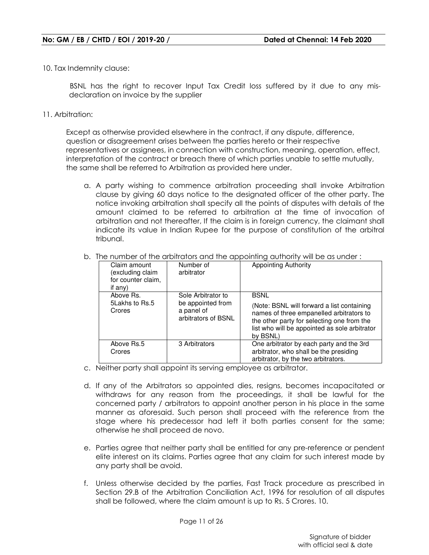10. Tax Indemnity clause:

 BSNL has the right to recover Input Tax Credit loss suffered by it due to any misdeclaration on invoice by the supplier

11. Arbitration:

Except as otherwise provided elsewhere in the contract, if any dispute, difference, question or disagreement arises between the parties hereto or their respective representatives or assignees, in connection with construction, meaning, operation, effect, interpretation of the contract or breach there of which parties unable to settle mutually, the same shall be referred to Arbitration as provided here under.

a. A party wishing to commence arbitration proceeding shall invoke Arbitration clause by giving 60 days notice to the designated officer of the other party. The notice invoking arbitration shall specify all the points of disputes with details of the amount claimed to be referred to arbitration at the time of invocation of arbitration and not thereafter, If the claim is in foreign currency, the claimant shall indicate its value in Indian Rupee for the purpose of constitution of the arbitral tribunal.

| incredition of the dibilitation and the appointing domonly will be as onder. |                                                                              |                                                                                                                                                                                                                  |  |
|------------------------------------------------------------------------------|------------------------------------------------------------------------------|------------------------------------------------------------------------------------------------------------------------------------------------------------------------------------------------------------------|--|
| Claim amount<br>excluding claim)<br>for counter claim,<br>if any)            | Number of<br>arbitrator                                                      | <b>Appointing Authority</b>                                                                                                                                                                                      |  |
| Above Rs.<br>5Lakhs to Rs.5<br>Crores                                        | Sole Arbitrator to<br>be appointed from<br>a panel of<br>arbitrators of BSNL | <b>BSNL</b><br>(Note: BSNL will forward a list containing<br>names of three empanelled arbitrators to<br>the other party for selecting one from the<br>list who will be appointed as sole arbitrator<br>by BSNL) |  |
| Above Rs.5<br>Crores                                                         | 3 Arbitrators                                                                | One arbitrator by each party and the 3rd<br>arbitrator, who shall be the presiding<br>arbitrator, by the two arbitrators.                                                                                        |  |

b. The number of the arbitrators and the appointing authority will be as under :

- c. Neither party shall appoint its serving employee as arbitrator.
- d. If any of the Arbitrators so appointed dies, resigns, becomes incapacitated or withdraws for any reason from the proceedings, it shall be lawful for the concerned party / arbitrators to appoint another person in his place in the same manner as aforesaid. Such person shall proceed with the reference from the stage where his predecessor had left it both parties consent for the same; otherwise he shall proceed de novo.
- e. Parties agree that neither party shall be entitled for any pre-reference or pendent elite interest on its claims. Parties agree that any claim for such interest made by any party shall be avoid.
- f. Unless otherwise decided by the parties, Fast Track procedure as prescribed in Section 29.B of the Arbitration Conciliation Act, 1996 for resolution of all disputes shall be followed, where the claim amount is up to Rs. 5 Crores. 10.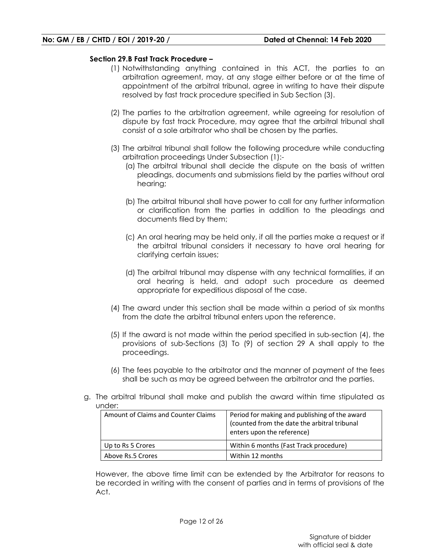#### **Section 29.B Fast Track Procedure –**

- (1) Notwithstanding anything contained in this ACT, the parties to an arbitration agreement, may, at any stage either before or at the time of appointment of the arbitral tribunal, agree in writing to have their dispute resolved by fast track procedure specified in Sub Section (3).
- (2) The parties to the arbitration agreement, while agreeing for resolution of dispute by fast track Procedure, may agree that the arbitral tribunal shall consist of a sole arbitrator who shall be chosen by the parties.
- (3) The arbitral tribunal shall follow the following procedure while conducting arbitration proceedings Under Subsection (1):-
	- (a) The arbitral tribunal shall decide the dispute on the basis of written pleadings, documents and submissions field by the parties without oral hearing;
	- (b) The arbitral tribunal shall have power to call for any further information or clarification from the parties in addition to the pleadings and documents filed by them;
	- (c) An oral hearing may be held only, if all the parties make a request or if the arbitral tribunal considers it necessary to have oral hearing for clarifying certain issues;
	- (d) The arbitral tribunal may dispense with any technical formalities, if an oral hearing is held, and adopt such procedure as deemed appropriate for expeditious disposal of the case.
- (4) The award under this section shall be made within a period of six months from the date the arbitral tribunal enters upon the reference.
- (5) If the award is not made within the period specified in sub-section (4), the provisions of sub-Sections (3) To (9) of section 29 A shall apply to the proceedings.
- (6) The fees payable to the arbitrator and the manner of payment of the fees shall be such as may be agreed between the arbitrator and the parties.
- g. The arbitral tribunal shall make and publish the award within time stipulated as under:

| Amount of Claims and Counter Claims | Period for making and publishing of the award<br>(counted from the date the arbitral tribunal<br>enters upon the reference) |
|-------------------------------------|-----------------------------------------------------------------------------------------------------------------------------|
| Up to Rs 5 Crores                   | Within 6 months (Fast Track procedure)                                                                                      |
| Above Rs.5 Crores                   | Within 12 months                                                                                                            |

However, the above time limit can be extended by the Arbitrator for reasons to be recorded in writing with the consent of parties and in terms of provisions of the Act.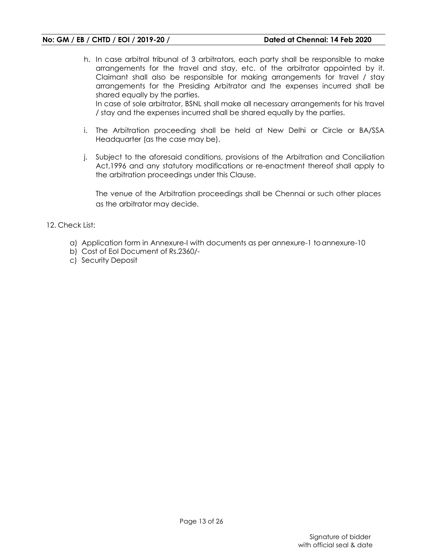h. In case arbitral tribunal of 3 arbitrators, each party shall be responsible to make arrangements for the travel and stay, etc. of the arbitrator appointed by it. Claimant shall also be responsible for making arrangements for travel / stay arrangements for the Presiding Arbitrator and the expenses incurred shall be shared equally by the parties.

In case of sole arbitrator, BSNL shall make all necessary arrangements for his travel / stay and the expenses incurred shall be shared equally by the parties.

- i. The Arbitration proceeding shall be held at New Delhi or Circle or BA/SSA Headquarter (as the case may be).
- j. Subject to the aforesaid conditions, provisions of the Arbitration and Conciliation Act,1996 and any statutory modifications or re-enactment thereof shall apply to the arbitration proceedings under this Clause.

The venue of the Arbitration proceedings shall be Chennai or such other places as the arbitrator may decide.

- 12. Check List:
	- a) Application form in Annexure-I with documents as per annexure-1 to annexure-10
	- b) Cost of EoI Document of Rs.2360/-
	- c) Security Deposit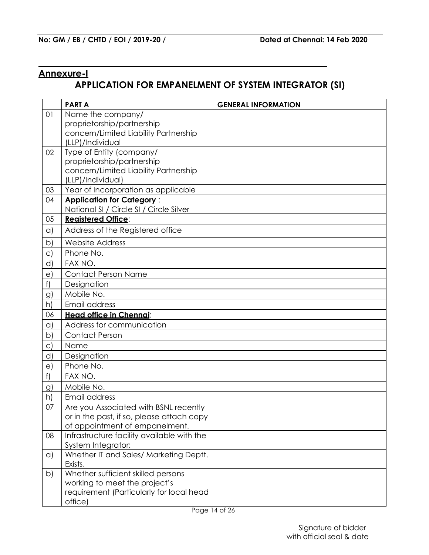# **Annexure-I**

# **APPLICATION FOR EMPANELMENT OF SYSTEM INTEGRATOR (SI)**

|              | <b>PARTA</b>                                                 | <b>GENERAL INFORMATION</b> |
|--------------|--------------------------------------------------------------|----------------------------|
| 01           | Name the company/                                            |                            |
|              | proprietorship/partnership                                   |                            |
|              | concern/Limited Liability Partnership                        |                            |
|              | (LLP)/Individual                                             |                            |
| 02           | Type of Entity (company/                                     |                            |
|              | proprietorship/partnership                                   |                            |
|              | concern/Limited Liability Partnership<br>(LLP)/Individual)   |                            |
| 03           | Year of Incorporation as applicable                          |                            |
| 04           | <b>Application for Category:</b>                             |                            |
|              | National SI / Circle SI / Circle Silver                      |                            |
| 05           | <b>Reaistered Office:</b>                                    |                            |
| $\alpha$     | Address of the Registered office                             |                            |
| $\mathsf{b}$ | <b>Website Address</b>                                       |                            |
| $\circ$      | Phone No.                                                    |                            |
| d            | FAX NO.                                                      |                            |
| $\epsilon$   | <b>Contact Person Name</b>                                   |                            |
| f)           | Designation                                                  |                            |
| g)           | Mobile No.                                                   |                            |
| h)           | Email address                                                |                            |
| 06           | Head office in Chennai:                                      |                            |
| $\alpha$     | Address for communication                                    |                            |
| b            | <b>Contact Person</b>                                        |                            |
| C)           | Name                                                         |                            |
| d            | Designation                                                  |                            |
| $\epsilon$   | Phone No.                                                    |                            |
| f)           | FAX NO.                                                      |                            |
| g)           | Mobile No.                                                   |                            |
| h)           | Email address                                                |                            |
| 07           | Are you Associated with BSNL recently                        |                            |
|              | or in the past, if so, please attach copy                    |                            |
|              | of appointment of empanelment.                               |                            |
| 08           | Infrastructure facility available with the                   |                            |
|              | System Integrator:<br>Whether IT and Sales/ Marketing Deptt. |                            |
| $\alpha$     | Exists.                                                      |                            |
| b)           | Whether sufficient skilled persons                           |                            |
|              | working to meet the project's                                |                            |
|              | requirement (Particularly for local head                     |                            |
|              | office)                                                      |                            |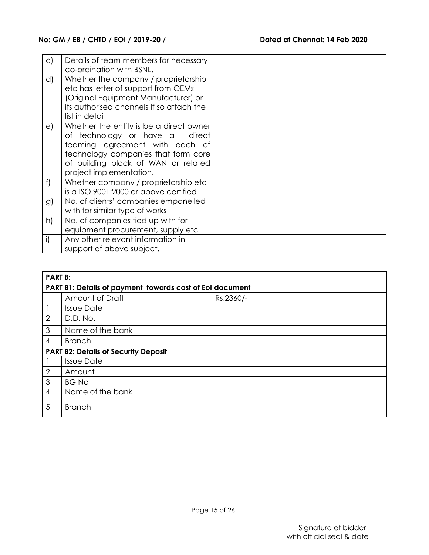| $\circ$ ) | Details of team members for necessary<br>co-ordination with BSNL.                                                                                                                                                       |  |
|-----------|-------------------------------------------------------------------------------------------------------------------------------------------------------------------------------------------------------------------------|--|
| d)        | Whether the company / proprietorship<br>etc has letter of support from OEMs<br>(Original Equipment Manufacturer) or<br>its authorised channels If so attach the<br>list in detail                                       |  |
| e)        | Whether the entity is be a direct owner<br>of technology or have a<br>direct<br>teaming agreement with each of<br>technology companies that form core<br>of building block of WAN or related<br>project implementation. |  |
| f         | Whether company / proprietorship etc<br>is a ISO 9001:2000 or above certified                                                                                                                                           |  |
| g)        | No. of clients' companies empanelled<br>with for similar type of works                                                                                                                                                  |  |
| h)        | No. of companies tied up with for<br>equipment procurement, supply etc                                                                                                                                                  |  |
| i)        | Any other relevant information in<br>support of above subject.                                                                                                                                                          |  |

|                | <b>PART B:</b>                                           |           |  |  |  |
|----------------|----------------------------------------------------------|-----------|--|--|--|
|                | PART B1: Details of payment towards cost of EoI document |           |  |  |  |
|                | Amount of Draft                                          | Rs.2360/- |  |  |  |
|                | <b>Issue Date</b>                                        |           |  |  |  |
| $\overline{2}$ | D.D. No.                                                 |           |  |  |  |
| 3              | Name of the bank                                         |           |  |  |  |
| 4              | <b>Branch</b>                                            |           |  |  |  |
|                | <b>PART B2: Details of Security Deposit</b>              |           |  |  |  |
|                | <b>Issue Date</b>                                        |           |  |  |  |
| $\overline{2}$ | Amount                                                   |           |  |  |  |
| 3              | <b>BG No</b>                                             |           |  |  |  |
| $\overline{4}$ | Name of the bank                                         |           |  |  |  |
| 5              | <b>Branch</b>                                            |           |  |  |  |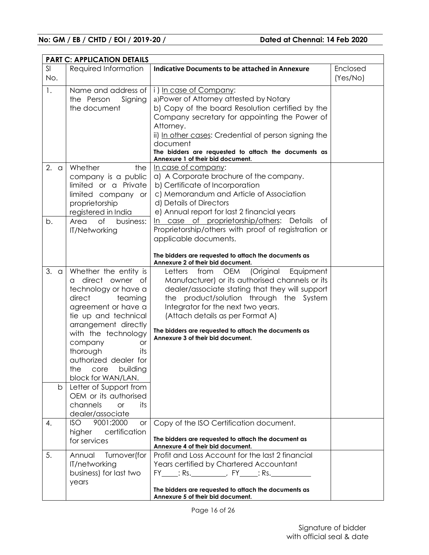|                     | <b>PART C: APPLICATION DETAILS</b>                                                                                                                                                                                                                                                                                                                                                                                   |                                                                                                                                                                                                                                                                                                                                                                                 |                      |
|---------------------|----------------------------------------------------------------------------------------------------------------------------------------------------------------------------------------------------------------------------------------------------------------------------------------------------------------------------------------------------------------------------------------------------------------------|---------------------------------------------------------------------------------------------------------------------------------------------------------------------------------------------------------------------------------------------------------------------------------------------------------------------------------------------------------------------------------|----------------------|
| SI<br>No.           | Required Information                                                                                                                                                                                                                                                                                                                                                                                                 | <b>Indicative Documents to be attached in Annexure</b>                                                                                                                                                                                                                                                                                                                          | Enclosed<br>(Yes/No) |
| 1.                  | Name and address of<br>the Person<br>Signing<br>the document                                                                                                                                                                                                                                                                                                                                                         | i) In case of Company:<br>a)Power of Attorney attested by Notary<br>b) Copy of the board Resolution certified by the<br>Company secretary for appointing the Power of<br>Attorney.<br>ii) In other cases: Credential of person signing the<br>document<br>The bidders are requested to attach the documents as<br>Annexure 1 of their bid document.                             |                      |
| 2.<br>$\alpha$      | Whether<br>the<br>company is a public<br>limited or a Private<br>limited company or<br>proprietorship<br>registered in India                                                                                                                                                                                                                                                                                         | In case of company:<br>a) A Corporate brochure of the company.<br>b) Certificate of Incorporation<br>c) Memorandum and Article of Association<br>d) Details of Directors<br>e) Annual report for last 2 financial years                                                                                                                                                         |                      |
| b.                  | <b>of</b><br>Area<br>business:<br><b>IT/Networking</b>                                                                                                                                                                                                                                                                                                                                                               | In case of proprietorship/others: Details<br>of<br>Proprietorship/others with proof of registration or<br>applicable documents.<br>The bidders are requested to attach the documents as<br>Annexure 2 of their bid document.                                                                                                                                                    |                      |
| 3.<br>$\alpha$<br>b | Whether the entity is<br>direct owner of<br>a<br>technology or have a<br>direct<br>teaming<br>agreement or have a<br>tie up and technical<br>arrangement directly<br>with the technology<br>company<br><b>or</b><br>thorough<br>its<br>authorized dealer for<br>the<br>building<br>core<br>block for WAN/LAN.<br>Letter of Support from<br>OEM or its authorised<br>channels<br><b>or</b><br>its<br>dealer/associate | <b>OEM</b><br>(Original<br>Equipment<br>Letters<br>from<br>Manufacturer) or its authorised channels or its<br>dealer/associate stating that they will support<br>the product/solution through the System<br>Integrator for the next two years.<br>(Attach details as per Format A)<br>The bidders are requested to attach the documents as<br>Annexure 3 of their bid document. |                      |
| 4.                  | 9001:2000<br>ISO.<br><b>or</b><br>certification<br>higher<br>for services                                                                                                                                                                                                                                                                                                                                            | Copy of the ISO Certification document.<br>The bidders are requested to attach the document as<br>Annexure 4 of their bid document.                                                                                                                                                                                                                                             |                      |
| 5.                  | Annual<br>Turnover(for<br>IT/networking<br>business) for last two<br>years                                                                                                                                                                                                                                                                                                                                           | Profit and Loss Account for the last 2 financial<br>Years certified by Chartered Accountant<br>FY______: Rs._______________, FY_______: Rs._______<br>The bidders are requested to attach the documents as<br>Annexure 5 of their bid document.                                                                                                                                 |                      |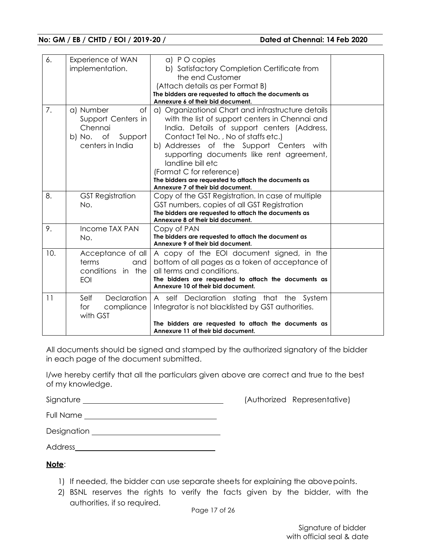| 6.                | Experience of WAN<br>implementation. | a) PO copies<br>b) Satisfactory Completion Certificate from                                |  |
|-------------------|--------------------------------------|--------------------------------------------------------------------------------------------|--|
|                   |                                      | the end Customer                                                                           |  |
|                   |                                      | (Attach details as per Format B)                                                           |  |
|                   |                                      | The bidders are requested to attach the documents as<br>Annexure 6 of their bid document.  |  |
| 7.                | of<br>a) Number                      | a) Organizational Chart and infrastructure details                                         |  |
|                   | Support Centers in                   | with the list of support centers in Chennai and                                            |  |
|                   | Chennai                              | India. Details of support centers (Address,                                                |  |
|                   | b) No. of<br>Support                 | Contact Tel No., No of staffs etc.)                                                        |  |
|                   | centers in India                     | b) Addresses of the Support Centers with                                                   |  |
|                   |                                      | supporting documents like rent agreement,                                                  |  |
|                   |                                      | landline bill etc                                                                          |  |
|                   |                                      | (Format C for reference)                                                                   |  |
|                   |                                      | The bidders are requested to attach the documents as                                       |  |
|                   |                                      | Annexure 7 of their bid document.                                                          |  |
| 8.                | <b>GST Registration</b>              | Copy of the GST Registration. In case of multiple                                          |  |
|                   | No.                                  | GST numbers, copies of all GST Registration                                                |  |
|                   |                                      | The bidders are requested to attach the documents as                                       |  |
| 9.                | Income TAX PAN                       | Annexure 8 of their bid document.                                                          |  |
|                   | No.                                  | Copy of PAN<br>The bidders are requested to attach the document as                         |  |
|                   |                                      | Annexure 9 of their bid document.                                                          |  |
| 10.               | Acceptance of all                    | A copy of the EOI document signed, in the                                                  |  |
|                   | terms<br>and                         | bottom of all pages as a token of acceptance of                                            |  |
| conditions in the |                                      | all terms and conditions.                                                                  |  |
|                   | EOI                                  | The bidders are requested to attach the documents as                                       |  |
|                   |                                      | Annexure 10 of their bid document.                                                         |  |
| 11                | Declaration<br>Self                  | A self Declaration stating that the System                                                 |  |
|                   | for<br>compliance                    | Integrator is not blacklisted by GST authorities.                                          |  |
|                   | with GST                             |                                                                                            |  |
|                   |                                      | The bidders are requested to attach the documents as<br>Annexure 11 of their bid document. |  |

All documents should be signed and stamped by the authorized signatory of the bidder in each page of the document submitted.

I/we hereby certify that all the particulars given above are correct and true to the best of my knowledge.

Signature (Authorized Representative)

Full Name

Designation extension and the set of the set of the set of the set of the set of the set of the set of the set of the set of the set of the set of the set of the set of the set of the set of the set of the set of the set o

Address

**Note**:

- 1) If needed, the bidder can use separate sheets for explaining the above points.
- 2) BSNL reserves the rights to verify the facts given by the bidder, with the authorities, if so required.

Page 17 of 26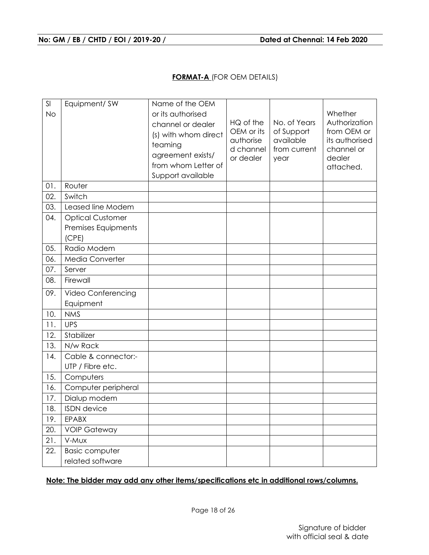## **FORMAT-A** (FOR OEM DETAILS)

| SI<br><b>No</b> | Equipment/SW                                            | Name of the OEM<br>or its authorised<br>channel or dealer<br>(s) with whom direct<br>teaming<br>agreement exists/<br>from whom Letter of<br>Support available | HQ of the<br>OEM or its<br>authorise<br>d channel<br>or dealer | No. of Years<br>of Support<br>available<br>from current<br>year | Whether<br>Authorization<br>from OEM or<br>its authorised<br>channel or<br>dealer<br>attached. |
|-----------------|---------------------------------------------------------|---------------------------------------------------------------------------------------------------------------------------------------------------------------|----------------------------------------------------------------|-----------------------------------------------------------------|------------------------------------------------------------------------------------------------|
| 01.             | Router                                                  |                                                                                                                                                               |                                                                |                                                                 |                                                                                                |
| 02.             | Switch                                                  |                                                                                                                                                               |                                                                |                                                                 |                                                                                                |
| 03.             | Leased line Modem                                       |                                                                                                                                                               |                                                                |                                                                 |                                                                                                |
| 04.             | <b>Optical Customer</b><br>Premises Equipments<br>(CPE) |                                                                                                                                                               |                                                                |                                                                 |                                                                                                |
| 05.             | Radio Modem                                             |                                                                                                                                                               |                                                                |                                                                 |                                                                                                |
| 06.             | Media Converter                                         |                                                                                                                                                               |                                                                |                                                                 |                                                                                                |
| 07.             | Server                                                  |                                                                                                                                                               |                                                                |                                                                 |                                                                                                |
| 08.             | Firewall                                                |                                                                                                                                                               |                                                                |                                                                 |                                                                                                |
| 09.             | Video Conferencing<br>Equipment                         |                                                                                                                                                               |                                                                |                                                                 |                                                                                                |
| 10.             | <b>NMS</b>                                              |                                                                                                                                                               |                                                                |                                                                 |                                                                                                |
| 11.             | <b>UPS</b>                                              |                                                                                                                                                               |                                                                |                                                                 |                                                                                                |
| 12.             | Stabilizer                                              |                                                                                                                                                               |                                                                |                                                                 |                                                                                                |
| 13.             | N/w Rack                                                |                                                                                                                                                               |                                                                |                                                                 |                                                                                                |
| 14.             | Cable & connector:-<br>UTP / Fibre etc.                 |                                                                                                                                                               |                                                                |                                                                 |                                                                                                |
| 15.             | Computers                                               |                                                                                                                                                               |                                                                |                                                                 |                                                                                                |
| 16.             | Computer peripheral                                     |                                                                                                                                                               |                                                                |                                                                 |                                                                                                |
| 17.             | Dialup modem                                            |                                                                                                                                                               |                                                                |                                                                 |                                                                                                |
| 18.             | <b>ISDN</b> device                                      |                                                                                                                                                               |                                                                |                                                                 |                                                                                                |
| 19.             | <b>EPABX</b>                                            |                                                                                                                                                               |                                                                |                                                                 |                                                                                                |
| 20.             | <b>VOIP Gateway</b>                                     |                                                                                                                                                               |                                                                |                                                                 |                                                                                                |
| 21.             | V-MUX                                                   |                                                                                                                                                               |                                                                |                                                                 |                                                                                                |
| 22.             | <b>Basic computer</b><br>related software               |                                                                                                                                                               |                                                                |                                                                 |                                                                                                |
|                 |                                                         |                                                                                                                                                               |                                                                |                                                                 |                                                                                                |

## **Note: The bidder may add any other items/specifications etc in additional rows/columns.**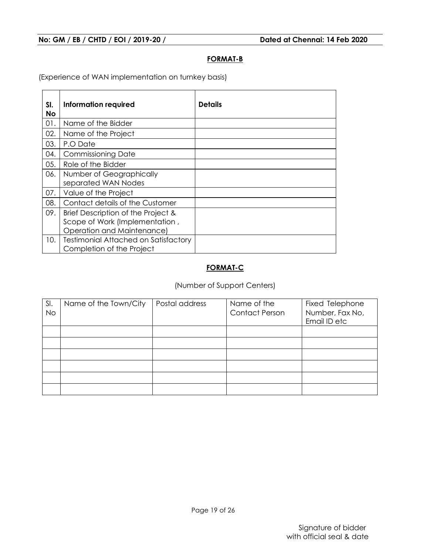#### **FORMAT-B**

(Experience of WAN implementation on turnkey basis)

| SI.<br>No | Information required                        | <b>Details</b> |
|-----------|---------------------------------------------|----------------|
| 01.       | Name of the Bidder                          |                |
| 02.       | Name of the Project                         |                |
| 03.       | P.O Date                                    |                |
| 04.       | <b>Commissioning Date</b>                   |                |
| 05.       | Role of the Bidder                          |                |
| 06.       | Number of Geographically                    |                |
|           | separated WAN Nodes                         |                |
| 07.       | Value of the Project                        |                |
| 08.       | Contact details of the Customer             |                |
| 09.       | Brief Description of the Project &          |                |
|           | Scope of Work (Implementation,              |                |
|           | Operation and Maintenance)                  |                |
| 10.       | <b>Testimonial Attached on Satisfactory</b> |                |
|           | Completion of the Project                   |                |

## **FORMAT-C**

## (Number of Support Centers)

| SI.<br><b>No</b> | Name of the Town/City | Postal address | Name of the<br><b>Contact Person</b> | Fixed Telephone<br>Number, Fax No,<br>Email ID etc |
|------------------|-----------------------|----------------|--------------------------------------|----------------------------------------------------|
|                  |                       |                |                                      |                                                    |
|                  |                       |                |                                      |                                                    |
|                  |                       |                |                                      |                                                    |
|                  |                       |                |                                      |                                                    |
|                  |                       |                |                                      |                                                    |
|                  |                       |                |                                      |                                                    |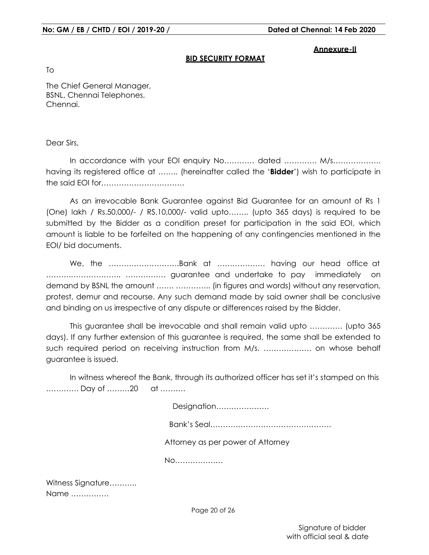#### **Annexure-II**

#### **BID SECURITY FORMAT**

To

The Chief General Manager, BSNL, Chennai Telephones, Chennai.

Dear Sirs,

In accordance with your EOI enquiry No………… dated ………… M/s………………… having its registered office at …….. (hereinafter called the '**Bidder**') wish to participate in the said EOI for……………………………

As an irrevocable Bank Guarantee against Bid Guarantee for an amount of Rs 1 (One) lakh / Rs.50,000/- / RS.10,000/- valid upto…….. (upto 365 days) is required to be submitted by the Bidder as a condition preset for participation in the said EOI, which amount is liable to be forfeited on the happening of any contingencies mentioned in the EOI/ bid documents.

We, the ……………………….Bank at ………………. having our head office at ……….……………….. ……………. guarantee and undertake to pay immediately on demand by BSNL the amount ……. ………….. (in figures and words) without any reservation, protest, demur and recourse. Any such demand made by said owner shall be conclusive and binding on us irrespective of any dispute or differences raised by the Bidder.

This guarantee shall be irrevocable and shall remain valid upto …………. (upto 365 days). If any further extension of this guarantee is required, the same shall be extended to such required period on receiving instruction from M/s. ………………. on whose behalf guarantee is issued.

In witness whereof the Bank, through its authorized officer has set it's stamped on this …………. Day of ………20 at ……….

Designation…………………

Bank's Seal…………………………………………

Attorney as per power of Attorney

No……………….

Witness Signature……….. Name ……………

Page 20 of 26

Signature of bidder with official seal & date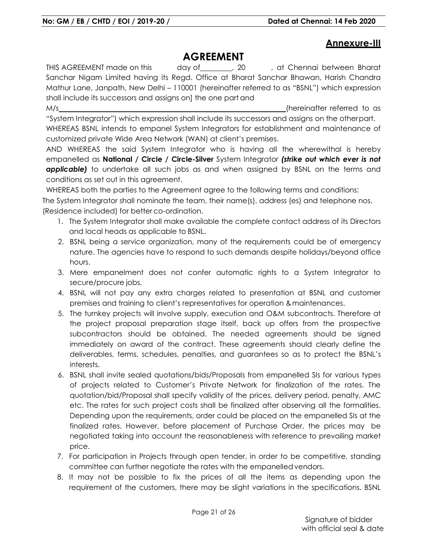# **Annexure-III**

# **AGREEMENT**

THIS AGREEMENT made on this day of , 20 , at Chennai between Bharat Sanchar Nigam Limited having its Regd. Office at Bharat Sanchar Bhawan, Harish Chandra Mathur Lane, Janpath, New Delhi – 110001 (hereinafter referred to as "BSNL") which expression shall include its successors and assigns on] the one part and

M/s (hereinafter referred to as "System Integrator") which expression shall include its successors and assigns on the other part.

WHEREAS BSNL intends to empanel System Integrators for establishment and maintenance of customized private Wide Area Network (WAN) at client's premises.

AND WHEREAS the said System Integrator who is having all the wherewithal is hereby empanelled as **National / Circle / Circle-Silver** System Integrator *(strike out which ever is not applicable)* to undertake all such jobs as and when assigned by BSNL on the terms and conditions as set out in this agreement.

WHEREAS both the parties to the Agreement agree to the following terms and conditions:

The System Integrator shall nominate the team, their name(s), address (es) and telephone nos. (Residence included) for better co-ordination.

- 1. The System Integrator shall make available the complete contact address of its Directors and local heads as applicable to BSNL.
- 2. BSNL being a service organization, many of the requirements could be of emergency nature. The agencies have to respond to such demands despite holidays/beyond office hours.
- 3. Mere empanelment does not confer automatic rights to a System Integrator to secure/procure jobs.
- 4. BSNL will not pay any extra charges related to presentation at BSNL and customer premises and training to client's representatives for operation & maintenances.
- 5. The turnkey projects will involve supply, execution and O&M subcontracts. Therefore at the project proposal preparation stage itself, back up offers from the prospective subcontractors should be obtained. The needed agreements should be signed immediately on award of the contract. These agreements should clearly define the deliverables, terms, schedules, penalties, and guarantees so as to protect the BSNL's interests.
- 6. BSNL shall invite sealed quotations/bids/Proposals from empanelled SIs for various types of projects related to Customer's Private Network for finalization of the rates. The quotation/bid/Proposal shall specify validity of the prices, delivery period, penalty, AMC etc. The rates for such project costs shall be finalized after observing all the formalities. Depending upon the requirements, order could be placed on the empanelled SIs at the finalized rates. However, before placement of Purchase Order, the prices may be negotiated taking into account the reasonableness with reference to prevailing market price.
- 7. For participation in Projects through open tender, in order to be competitive, standing committee can further negotiate the rates with the empanelled vendors.
- 8. It may not be possible to fix the prices of all the items as depending upon the requirement of the customers, there may be slight variations in the specifications. BSNL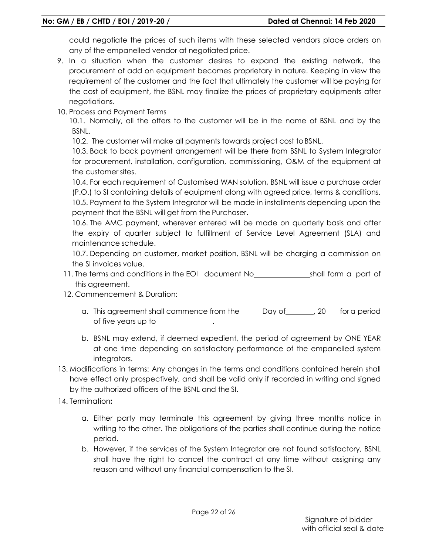could negotiate the prices of such items with these selected vendors place orders on any of the empanelled vendor at negotiated price.

- 9. In a situation when the customer desires to expand the existing network, the procurement of add on equipment becomes proprietary in nature. Keeping in view the requirement of the customer and the fact that ultimately the customer will be paying for the cost of equipment, the BSNL may finalize the prices of proprietary equipments after negotiations.
- 10. Process and Payment Terms

10.1. Normally, all the offers to the customer will be in the name of BSNL and by the BSNL.

10.2. The customer will make all payments towards project cost to BSNL.

10.3. Back to back payment arrangement will be there from BSNL to System Integrator for procurement, installation, configuration, commissioning, O&M of the equipment at the customer sites.

10.4. For each requirement of Customised WAN solution, BSNL will issue a purchase order (P.O.) to SI containing details of equipment along with agreed price, terms & conditions. 10.5. Payment to the System Integrator will be made in installments depending upon the payment that the BSNL will get from the Purchaser.

10.6. The AMC payment, wherever entered will be made on quarterly basis and after the expiry of quarter subject to fulfillment of Service Level Agreement (SLA) and maintenance schedule.

10.7. Depending on customer, market position, BSNL will be charging a commission on the SI invoices value.

- 11. The terms and conditions in the EOI document No\_\_\_\_\_\_\_\_\_\_\_\_\_\_\_\_\_\_\_\_\_shall form a part of this agreement.
- 12. Commencement & Duration:
	- a. This agreement shall commence from the Day of 1000 for a period of five years up to .
	- b. BSNL may extend, if deemed expedient, the period of agreement by ONE YEAR at one time depending on satisfactory performance of the empanelled system integrators.
- 13. Modifications in terms: Any changes in the terms and conditions contained herein shall have effect only prospectively, and shall be valid only if recorded in writing and signed by the authorized officers of the BSNL and the SI.
- 14. Termination**:** 
	- a. Either party may terminate this agreement by giving three months notice in writing to the other. The obligations of the parties shall continue during the notice period.
	- b. However, if the services of the System Integrator are not found satisfactory, BSNL shall have the right to cancel the contract at any time without assigning any reason and without any financial compensation to the SI.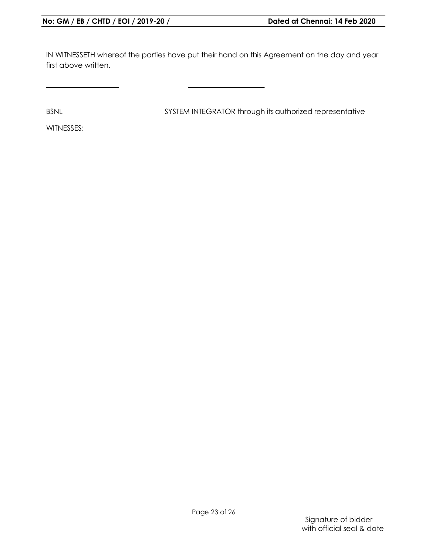IN WITNESSETH whereof the parties have put their hand on this Agreement on the day and year first above written.

BSNL BSNL SYSTEM INTEGRATOR through its authorized representative

WITNESSES: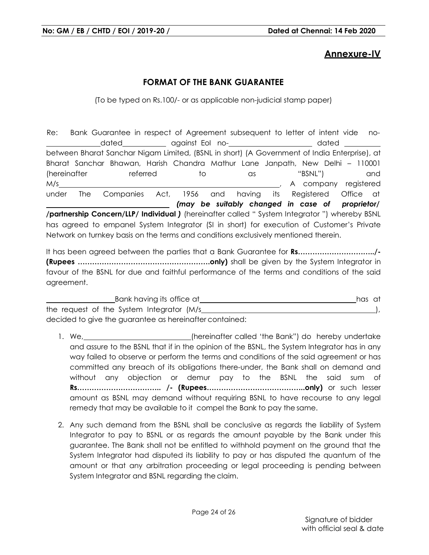# **Annexure-IV**

# **FORMAT OF THE BANK GUARANTEE**

(To be typed on Rs.100/- or as applicable non-judicial stamp paper)

Re: Bank Guarantee in respect of Agreement subsequent to letter of intent vide no dated against EoI no- contract and dated dated against EoI nobetween Bharat Sanchar Nigam Limited, (BSNL in short) (A Government of India Enterprise), at Bharat Sanchar Bhawan, Harish Chandra Mathur Lane Janpath, New Delhi – 110001 (hereinafter referred to as "BSNL") and M/s and the company registered methods of the company registered methods of the company registered under The Companies Act, 1956 and having its Registered Office at  *(may be suitably changed in case of proprietor/*  **/partnership Concern/LLP/ Individual** *)* (hereinafter called " System Integrator ") whereby BSNL has agreed to empanel System Integrator (SI in short) for execution of Customer's Private Network on turnkey basis on the terms and conditions exclusively mentioned therein.

It has been agreed between the parties that a Bank Guarantee for **Rs…………………………../- (Rupees ……………………………………………….only)** shall be given by the System Integrator in favour of the BSNL for due and faithful performance of the terms and conditions of the said agreement.

| Bank having its office at                               |  |  |
|---------------------------------------------------------|--|--|
| the request of the System Integrator (M/s)              |  |  |
| decided to give the guarantee as hereinafter contained: |  |  |

- 1. We, (hereinafter called 'the Bank") do hereby undertake and assure to the BSNL that if in the opinion of the BSNL, the System Integrator has in any way failed to observe or perform the terms and conditions of the said agreement or has committed any breach of its obligations there-under, the Bank shall on demand and without any objection or demur pay to the BSNL the said sum of **Rs…………………………….. /- (Rupees…………………………………..only)** or such lesser amount as BSNL may demand without requiring BSNL to have recourse to any legal remedy that may be available to it compel the Bank to pay the same.
- 2. Any such demand from the BSNL shall be conclusive as regards the liability of System Integrator to pay to BSNL or as regards the amount payable by the Bank under this guarantee. The Bank shall not be entitled to withhold payment on the ground that the System Integrator had disputed its liability to pay or has disputed the quantum of the amount or that any arbitration proceeding or legal proceeding is pending between System Integrator and BSNL regarding the claim.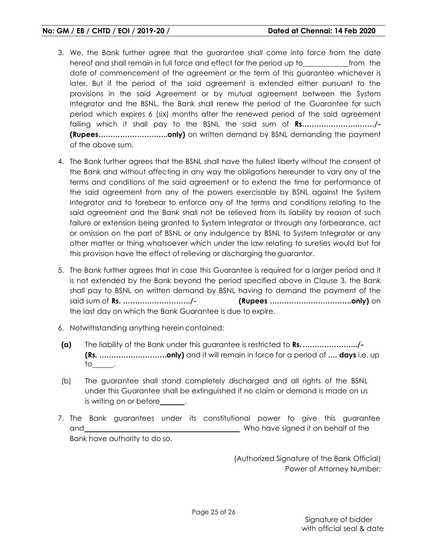- 3. We, the Bank further agree that the guarantee shall come into force from the date hereof and shall remain in full force and effect for the period up to from the date of commencement of the agreement or the term of this guarantee whichever is later. But if the period of the said agreement is extended either pursuant to the provisions in the said Agreement or by mutual agreement between the System Integrator and the BSNL, the Bank shall renew the period of the Guarantee for such period which expires 6 (six) months after the renewed period of the said agreement failing which it shall pay to the BSNL the said sum of **Rs…………………………/- (Rupees………………………..only)** on written demand by BSNL demanding the payment of the above sum.
- 4. The Bank further agrees that the BSNL shall have the fullest liberty without the consent of the Bank and without affecting in any way the obligations hereunder to vary any of the terms and conditions of the said agreement or to extend the time for performance of the said agreement from any of the powers exercisable by BSNL against the System Integrator and to forebear to enforce any of the terms and conditions relating to the said agreement and the Bank shall not be relieved from its liability by reason of such failure or extension being granted to System Integrator or through any forbearance, act or omission on the part of BSNL or any indulgence by BSNL to System Integrator or any other matter or thing whatsoever which under the law relating to sureties would but for this provision have the effect of relieving or discharging the guarantor.
- 5. The Bank further agrees that in case this Guarantee is required for a larger period and it is not extended by the Bank beyond the period specified above in Clause 3, the Bank shall pay to BSNL on written demand by BSNL having to demand the payment of the said sum of **Rs. ………………………./- (Rupees …………………………….only)** on the last day on which the Bank Guarantee is due to expire.
- 6. Notwithstanding anything herein contained;
- **(a)** The liability of the Bank under this guarantee is restricted to **Rs. …………………../- (Rs. ……………………….only)** and it will remain in force for a period of **…. days** i.e. up to\_\_\_\_\_\_\_.
- (b) The guarantee shall stand completely discharged and all rights of the BSNL under this Guarantee shall be extinguished if no claim or demand is made on us is writing on or before\_
- 7. The Bank guarantees under its constitutional power to give this guarantee and Bank have authority to do so. Who have signed it on behalf of the

(Authorized Signature of the Bank Official) Power of Attorney Number: